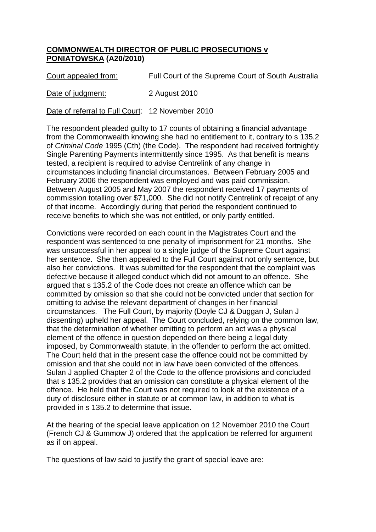## **COMMONWEALTH DIRECTOR OF PUBLIC PROSECUTIONS v PONIATOWSKA (A20/2010)**

Court appealed from: Full Court of the Supreme Court of South Australia

Date of judgment: 2 August 2010

Date of referral to Full Court: 12 November 2010

The respondent pleaded guilty to 17 counts of obtaining a financial advantage from the Commonwealth knowing she had no entitlement to it, contrary to s 135.2 of *Criminal Code* 1995 (Cth) (the Code). The respondent had received fortnightly Single Parenting Payments intermittently since 1995. As that benefit is means tested, a recipient is required to advise Centrelink of any change in circumstances including financial circumstances. Between February 2005 and February 2006 the respondent was employed and was paid commission. Between August 2005 and May 2007 the respondent received 17 payments of commission totalling over \$71,000. She did not notify Centrelink of receipt of any of that income. Accordingly during that period the respondent continued to receive benefits to which she was not entitled, or only partly entitled.

Convictions were recorded on each count in the Magistrates Court and the respondent was sentenced to one penalty of imprisonment for 21 months. She was unsuccessful in her appeal to a single judge of the Supreme Court against her sentence. She then appealed to the Full Court against not only sentence, but also her convictions. It was submitted for the respondent that the complaint was defective because it alleged conduct which did not amount to an offence. She argued that s 135.2 of the Code does not create an offence which can be committed by omission so that she could not be convicted under that section for omitting to advise the relevant department of changes in her financial circumstances. The Full Court, by majority (Doyle CJ & Duggan J, Sulan J dissenting) upheld her appeal. The Court concluded, relying on the common law, that the determination of whether omitting to perform an act was a physical element of the offence in question depended on there being a legal duty imposed, by Commonwealth statute, in the offender to perform the act omitted. The Court held that in the present case the offence could not be committed by omission and that she could not in law have been convicted of the offences. Sulan J applied Chapter 2 of the Code to the offence provisions and concluded that s 135.2 provides that an omission can constitute a physical element of the offence. He held that the Court was not required to look at the existence of a duty of disclosure either in statute or at common law, in addition to what is provided in s 135.2 to determine that issue.

At the hearing of the special leave application on 12 November 2010 the Court (French CJ & Gummow J) ordered that the application be referred for argument as if on appeal.

The questions of law said to justify the grant of special leave are: